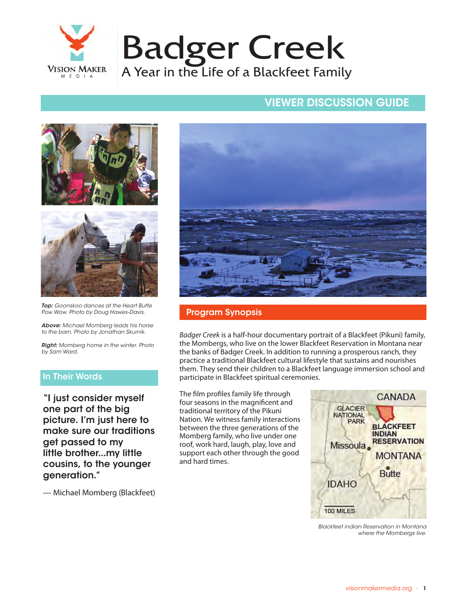

## VIEWER DISCUSSION GUIDE VIEWER DISCUSSION GUIDE





*Top: Goonskoo dances at the Heart Butte Pow Wow. Photo by Doug Hawes-Davis.*

*Above: Michael Momberg leads his horse to the barn. Photo by Jonathan Skurnik.*

*Right: Momberg home in the winter. Photo by Sam Ward.*

## In Their Words

"I just consider myself one part of the big picture. I'm just here to make sure our traditions get passed to my little brother...my little cousins, to the younger generation."

— Michael Momberg (Blackfeet)



### Program Synopsis

*Badger Creek* is a half-hour documentary portrait of a Blackfeet (Pikuni) family, the Mombergs, who live on the lower Blackfeet Reservation in Montana near the banks of Badger Creek. In addition to running a prosperous ranch, they practice a traditional Blackfeet cultural lifestyle that sustains and nourishes them. They send their children to a Blackfeet language immersion school and participate in Blackfeet spiritual ceremonies.

The film profiles family life through four seasons in the magnificent and traditional territory of the Pikuni Nation. We witness family interactions between the three generations of the Momberg family, who live under one roof, work hard, laugh, play, love and support each other through the good and hard times.



*Blackfeet indian Reservation in Montana where the Mombergs live.*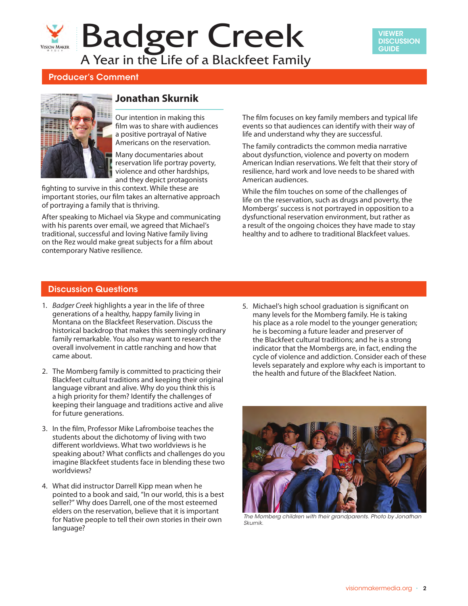## Badger Creek **VISION MAKER** A Year in the Life of a Blackfeet Family



## Producer's Comment



## **Jonathan Skurnik**

Our intention in making this film was to share with audiences a positive portrayal of Native Americans on the reservation.

Many documentaries about reservation life portray poverty, violence and other hardships, and they depict protagonists

fighting to survive in this context. While these are important stories, our film takes an alternative approach of portraying a family that is thriving.

After speaking to Michael via Skype and communicating with his parents over email, we agreed that Michael's traditional, successful and loving Native family living on the Rez would make great subjects for a film about contemporary Native resilience.

The film focuses on key family members and typical life events so that audiences can identify with their way of life and understand why they are successful.

The family contradicts the common media narrative about dysfunction, violence and poverty on modern American Indian reservations. We felt that their story of resilience, hard work and love needs to be shared with American audiences.

While the film touches on some of the challenges of life on the reservation, such as drugs and poverty, the Mombergs' success is not portrayed in opposition to a dysfunctional reservation environment, but rather as a result of the ongoing choices they have made to stay healthy and to adhere to traditional Blackfeet values.

### Discussion Questions

- 1. *Badger Creek* highlights a year in the life of three generations of a healthy, happy family living in Montana on the Blackfeet Reservation. Discuss the historical backdrop that makes this seemingly ordinary family remarkable. You also may want to research the overall involvement in cattle ranching and how that came about.
- 2. The Momberg family is committed to practicing their Blackfeet cultural traditions and keeping their original language vibrant and alive. Why do you think this is a high priority for them? Identify the challenges of keeping their language and traditions active and alive for future generations.
- 3. In the film, Professor Mike Lafromboise teaches the students about the dichotomy of living with two different worldviews. What two worldviews is he speaking about? What conflicts and challenges do you imagine Blackfeet students face in blending these two worldviews?
- 4. What did instructor Darrell Kipp mean when he pointed to a book and said, "In our world, this is a best seller?" Why does Darrell, one of the most esteemed elders on the reservation, believe that it is important for Native people to tell their own stories in their own language?

5. Michael's high school graduation is significant on many levels for the Momberg family. He is taking his place as a role model to the younger generation; he is becoming a future leader and preserver of the Blackfeet cultural traditions; and he is a strong indicator that the Mombergs are, in fact, ending the cycle of violence and addiction. Consider each of these levels separately and explore why each is important to the health and future of the Blackfeet Nation.



*The Momberg children with their grandparents. Photo by Jonathan Skurnik.*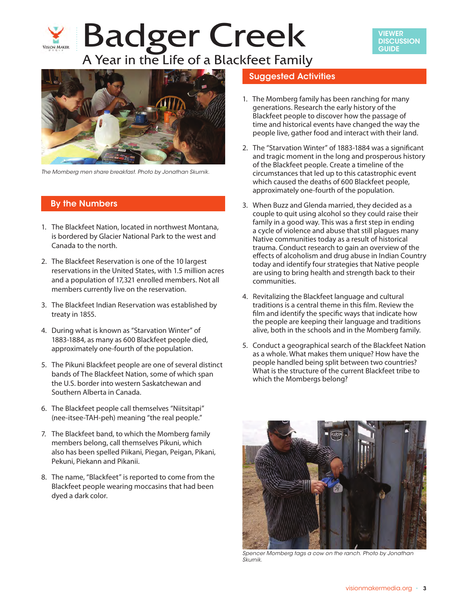# Badger Creek **VISION MAKER** A Year in the Life of a Blackfeet Family





*The Momberg men share breakfast. Photo by Jonathan Skurnik.*

### By the Numbers

- 1. The Blackfeet Nation, located in northwest Montana, is bordered by Glacier National Park to the west and Canada to the north.
- 2. The Blackfeet Reservation is one of the 10 largest reservations in the United States, with 1.5 million acres and a population of 17,321 enrolled members. Not all members currently live on the reservation.
- 3. The Blackfeet Indian Reservation was established by treaty in 1855.
- 4. During what is known as "Starvation Winter" of 1883-1884, as many as 600 Blackfeet people died, approximately one-fourth of the population.
- 5. The Pikuni Blackfeet people are one of several distinct bands of The Blackfeet Nation, some of which span the U.S. border into western Saskatchewan and Southern Alberta in Canada.
- 6. The Blackfeet people call themselves "Niitsitapi" (nee-itsee-TAH-peh) meaning "the real people."
- 7. The Blackfeet band, to which the Momberg family members belong, call themselves Pikuni, which also has been spelled Piikani, Piegan, Peigan, Pikani, Pekuni, Piekann and Pikanii.
- 8. The name, "Blackfeet" is reported to come from the Blackfeet people wearing moccasins that had been dyed a dark color.

## Suggested Activities

- 1. The Momberg family has been ranching for many generations. Research the early history of the Blackfeet people to discover how the passage of time and historical events have changed the way the people live, gather food and interact with their land.
- 2. The "Starvation Winter" of 1883-1884 was a significant and tragic moment in the long and prosperous history of the Blackfeet people. Create a timeline of the circumstances that led up to this catastrophic event which caused the deaths of 600 Blackfeet people, approximately one-fourth of the population.
- 3. When Buzz and Glenda married, they decided as a couple to quit using alcohol so they could raise their family in a good way. This was a first step in ending a cycle of violence and abuse that still plagues many Native communities today as a result of historical trauma. Conduct research to gain an overview of the effects of alcoholism and drug abuse in Indian Country today and identify four strategies that Native people are using to bring health and strength back to their communities.
- 4. Revitalizing the Blackfeet language and cultural traditions is a central theme in this film. Review the film and identify the specific ways that indicate how the people are keeping their language and traditions alive, both in the schools and in the Momberg family.
- 5. Conduct a geographical search of the Blackfeet Nation as a whole. What makes them unique? How have the people handled being split between two countries? What is the structure of the current Blackfeet tribe to which the Mombergs belong?



*Spencer Momberg tags a cow on the ranch. Photo by Jonathan Skurnik.*